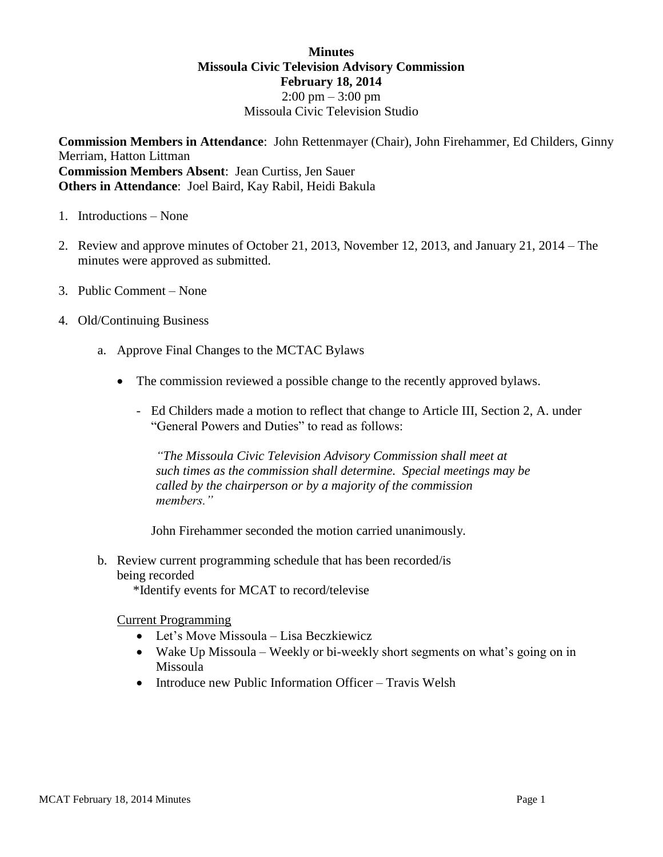## **Minutes Missoula Civic Television Advisory Commission February 18, 2014**  $2:00 \text{ pm} - 3:00 \text{ pm}$ Missoula Civic Television Studio

**Commission Members in Attendance**: John Rettenmayer (Chair), John Firehammer, Ed Childers, Ginny Merriam, Hatton Littman **Commission Members Absent**: Jean Curtiss, Jen Sauer **Others in Attendance**: Joel Baird, Kay Rabil, Heidi Bakula

- 1. Introductions None
- 2. Review and approve minutes of October 21, 2013, November 12, 2013, and January 21, 2014 The minutes were approved as submitted.
- 3. Public Comment None
- 4. Old/Continuing Business
	- a. Approve Final Changes to the MCTAC Bylaws
		- The commission reviewed a possible change to the recently approved bylaws.
			- Ed Childers made a motion to reflect that change to Article III, Section 2, A. under "General Powers and Duties" to read as follows:

*"The Missoula Civic Television Advisory Commission shall meet at such times as the commission shall determine. Special meetings may be called by the chairperson or by a majority of the commission members."*

John Firehammer seconded the motion carried unanimously.

b. Review current programming schedule that has been recorded/is being recorded

\*Identify events for MCAT to record/televise

Current Programming

- Let's Move Missoula Lisa Beczkiewicz
- Wake Up Missoula Weekly or bi-weekly short segments on what's going on in Missoula
- Introduce new Public Information Officer Travis Welsh